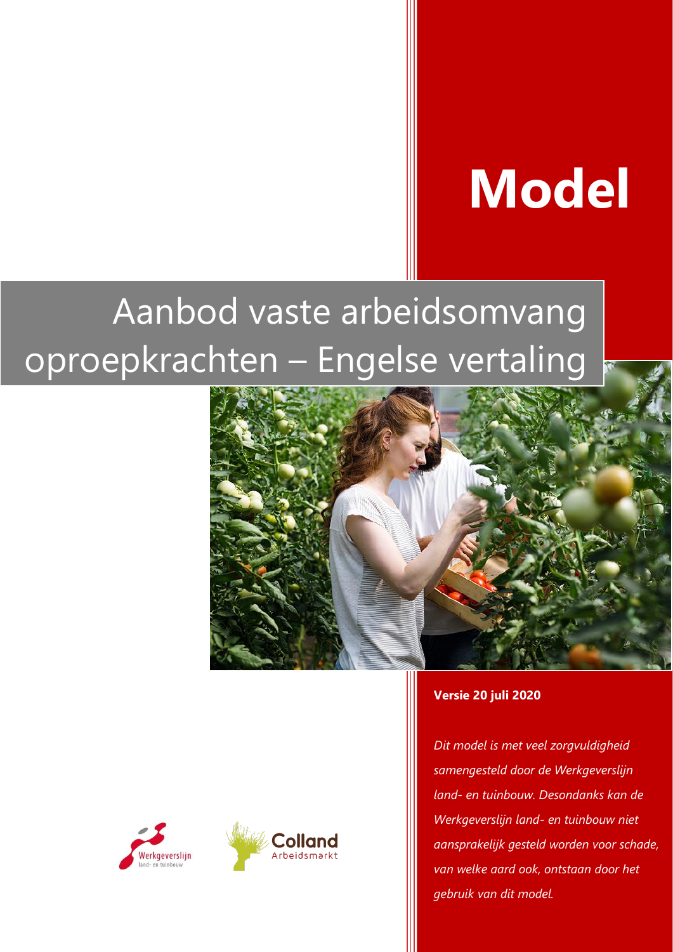# **Model**

## Aanbod vaste arbeidsomvang oproepkrachten – Engelse vertaling





*Dit model is met veel zorgvuldigheid samengesteld door de Werkgeverslijn land- en tuinbouw. Desondanks kan de Werkgeverslijn land- en tuinbouw niet aansprakelijk gesteld worden voor schade, van welke aard ook, ontstaan door het gebruik van dit model.* 



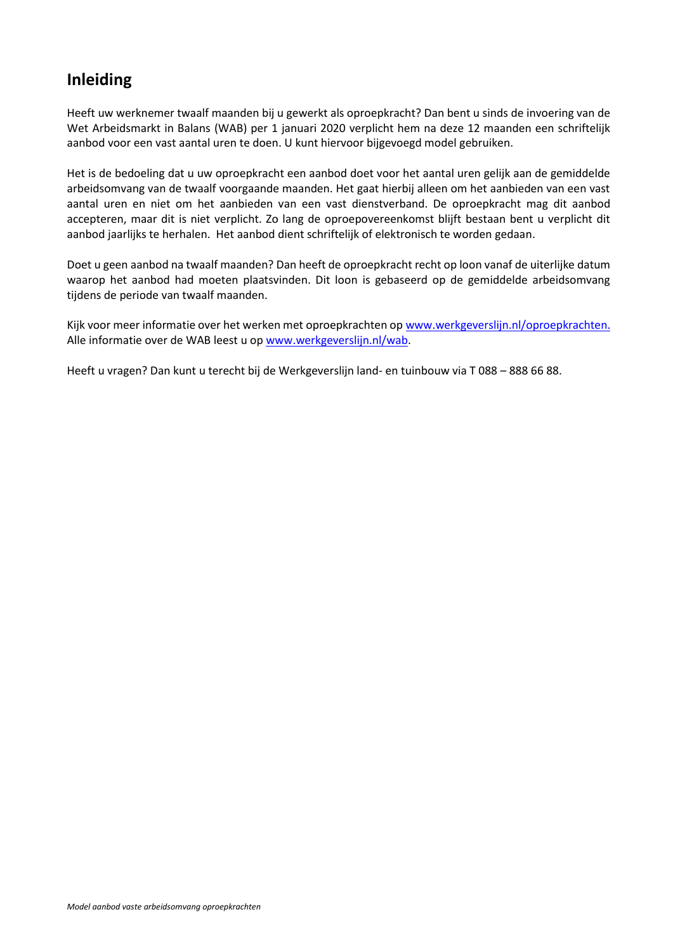#### **Inleiding**

Heeft uw werknemer twaalf maanden bij u gewerkt als oproepkracht? Dan bent u sinds de invoering van de Wet Arbeidsmarkt in Balans (WAB) per 1 januari 2020 verplicht hem na deze 12 maanden een schriftelijk aanbod voor een vast aantal uren te doen. U kunt hiervoor bijgevoegd model gebruiken.

Het is de bedoeling dat u uw oproepkracht een aanbod doet voor het aantal uren gelijk aan de gemiddelde arbeidsomvang van de twaalf voorgaande maanden. Het gaat hierbij alleen om het aanbieden van een vast aantal uren en niet om het aanbieden van een vast dienstverband. De oproepkracht mag dit aanbod accepteren, maar dit is niet verplicht. Zo lang de oproepovereenkomst blijft bestaan bent u verplicht dit aanbod jaarlijks te herhalen. Het aanbod dient schriftelijk of elektronisch te worden gedaan.

Doet u geen aanbod na twaalf maanden? Dan heeft de oproepkracht recht op loon vanaf de uiterlijke datum waarop het aanbod had moeten plaatsvinden. Dit loon is gebaseerd op de gemiddelde arbeidsomvang tijdens de periode van twaalf maanden.

Kijk voor meer informatie over het werken met oproepkrachten op [www.werkgeverslijn.nl/oproepkrachten.](http://www.werkgeverslijn.nl/oproepkrachten) Alle informatie over de WAB leest u op [www.werkgeverslijn.nl/wab.](http://www.werkgeverslijn.nl/wab)

Heeft u vragen? Dan kunt u terecht bij de Werkgeverslijn land- en tuinbouw via T 088 – 888 66 88.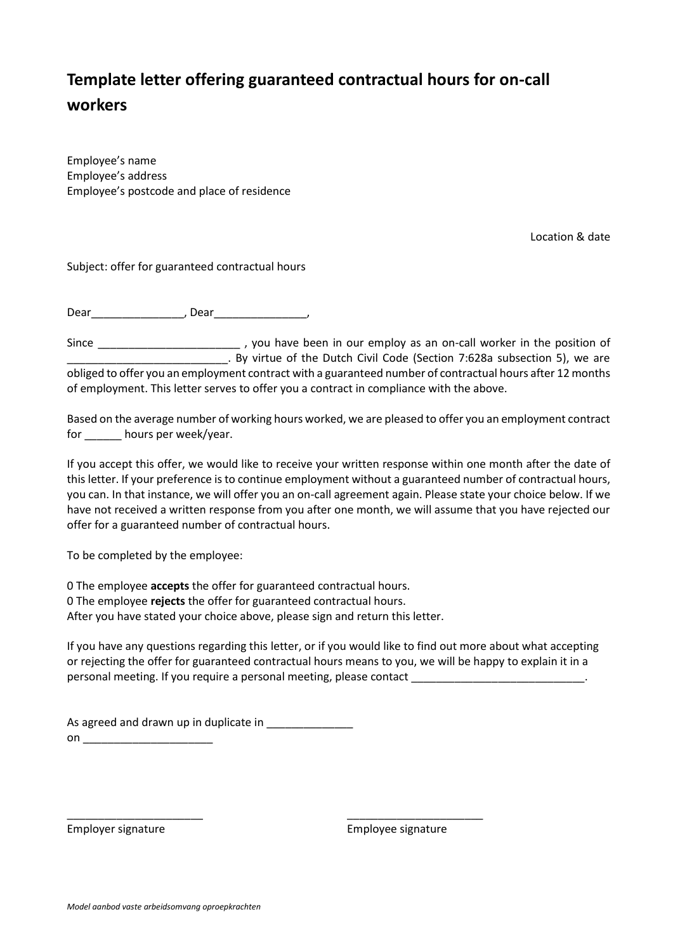## **Template letter offering guaranteed contractual hours for on-call workers**

Employee's name Employee's address Employee's postcode and place of residence

Location & date

Subject: offer for guaranteed contractual hours

Dear\_\_\_\_\_\_\_\_\_\_\_\_\_\_\_, Dear\_\_\_\_\_\_\_\_\_\_\_\_\_\_\_,

Since \_\_\_\_\_\_\_\_\_\_\_\_\_\_\_\_\_\_\_\_\_\_\_\_\_\_\_\_\_\_\_\_, you have been in our employ as an on-call worker in the position of \_\_\_\_\_\_\_\_\_\_\_\_\_\_\_\_\_\_\_\_\_\_\_\_\_\_. By virtue of the Dutch Civil Code (Section 7:628a subsection 5), we are obliged to offer you an employment contract with a guaranteed number of contractual hours after 12 months of employment. This letter serves to offer you a contract in compliance with the above.

Based on the average number of working hours worked, we are pleased to offer you an employment contract for \_\_\_\_\_\_ hours per week/year.

If you accept this offer, we would like to receive your written response within one month after the date of this letter. If your preference is to continue employment without a guaranteed number of contractual hours, you can. In that instance, we will offer you an on-call agreement again. Please state your choice below. If we have not received a written response from you after one month, we will assume that you have rejected our offer for a guaranteed number of contractual hours.

To be completed by the employee:

0 The employee **accepts** the offer for guaranteed contractual hours. 0 The employee **rejects** the offer for guaranteed contractual hours. After you have stated your choice above, please sign and return this letter.

\_\_\_\_\_\_\_\_\_\_\_\_\_\_\_\_\_\_\_\_\_\_ \_\_\_\_\_\_\_\_\_\_\_\_\_\_\_\_\_\_\_\_\_\_

If you have any questions regarding this letter, or if you would like to find out more about what accepting or rejecting the offer for guaranteed contractual hours means to you, we will be happy to explain it in a personal meeting. If you require a personal meeting, please contact

As agreed and drawn up in duplicate in  $\mathsf{on}$   $\blacksquare$ 

Employer signature Employee signature